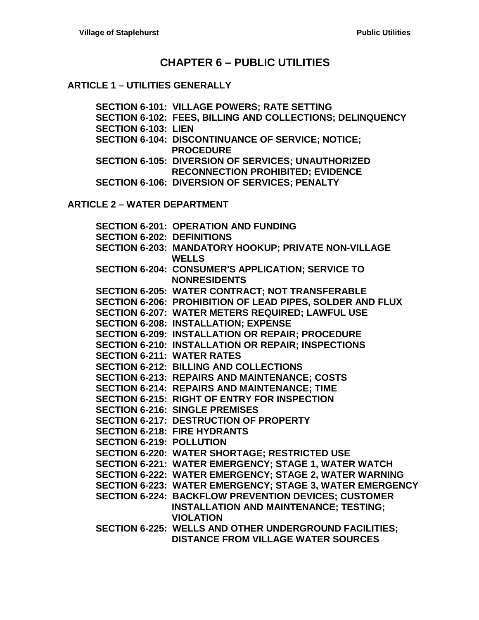# **CHAPTER 6 – [PUBLIC UTILITIES](#page-2-0)**

## **ARTICLE 1 – [UTILITIES GENERALLY](#page-2-1)**

**[SECTION 6-101: VILLAGE POWERS; RATE SETTING](#page-2-2) [SECTION 6-102: FEES, BILLING AND COLLECTIONS; DELINQUENCY](#page-2-3) [SECTION 6-103: LIEN](#page-2-4) [SECTION 6-104: DISCONTINUANCE](#page-3-0) OF SERVICE; NOTICE; [PROCEDURE](#page-3-0) [SECTION 6-105: DIVERSION OF SERVICES; UNAUTHORIZED](#page-3-1)  [RECONNECTION PROHIBITED; EVIDENCE](#page-3-1) [SECTION 6-106: DIVERSION OF SERVICES; PENALTY](#page-4-0)**

**ARTICLE 2 – [WATER DEPARTMENT](#page-6-0)**

|                                   | <b>SECTION 6-201: OPERATION AND FUNDING</b>                                     |
|-----------------------------------|---------------------------------------------------------------------------------|
| <b>SECTION 6-202: DEFINITIONS</b> |                                                                                 |
|                                   | SECTION 6-203: MANDATORY HOOKUP; PRIVATE NON-VILLAGE<br><b>WELLS</b>            |
|                                   | <b>SECTION 6-204: CONSUMER'S APPLICATION; SERVICE TO</b><br><b>NONRESIDENTS</b> |
|                                   | <b>SECTION 6-205: WATER CONTRACT; NOT TRANSFERABLE</b>                          |
|                                   | SECTION 6-206: PROHIBITION OF LEAD PIPES, SOLDER AND FLUX                       |
|                                   | <b>SECTION 6-207: WATER METERS REQUIRED; LAWFUL USE</b>                         |
|                                   | <b>SECTION 6-208: INSTALLATION; EXPENSE</b>                                     |
|                                   | SECTION 6-209: INSTALLATION OR REPAIR; PROCEDURE                                |
|                                   | <b>SECTION 6-210: INSTALLATION OR REPAIR; INSPECTIONS</b>                       |
| <b>SECTION 6-211: WATER RATES</b> |                                                                                 |
|                                   | <b>SECTION 6-212: BILLING AND COLLECTIONS</b>                                   |
|                                   | <b>SECTION 6-213: REPAIRS AND MAINTENANCE; COSTS</b>                            |
|                                   | <b>SECTION 6-214: REPAIRS AND MAINTENANCE; TIME</b>                             |
|                                   | <b>SECTION 6-215: RIGHT OF ENTRY FOR INSPECTION</b>                             |
|                                   | <b>SECTION 6-216: SINGLE PREMISES</b>                                           |
|                                   | <b>SECTION 6-217: DESTRUCTION OF PROPERTY</b>                                   |
|                                   | <b>SECTION 6-218: FIRE HYDRANTS</b>                                             |
| <b>SECTION 6-219: POLLUTION</b>   |                                                                                 |
|                                   | SECTION 6-220: WATER SHORTAGE; RESTRICTED USE                                   |
|                                   | SECTION 6-221: WATER EMERGENCY; STAGE 1, WATER WATCH                            |
|                                   | SECTION 6-222: WATER EMERGENCY; STAGE 2, WATER WARNING                          |
|                                   | SECTION 6-223: WATER EMERGENCY; STAGE 3, WATER EMERGENCY                        |
|                                   | <b>SECTION 6-224: BACKFLOW PREVENTION DEVICES; CUSTOMER</b>                     |
|                                   | <b>INSTALLATION AND MAINTENANCE; TESTING;</b><br><b>VIOLATION</b>               |
|                                   | SECTION 6-225: WELLS AND OTHER UNDERGROUND FACILITIES;                          |
|                                   | <b>DISTANCE FROM VILLAGE WATER SOURCES</b>                                      |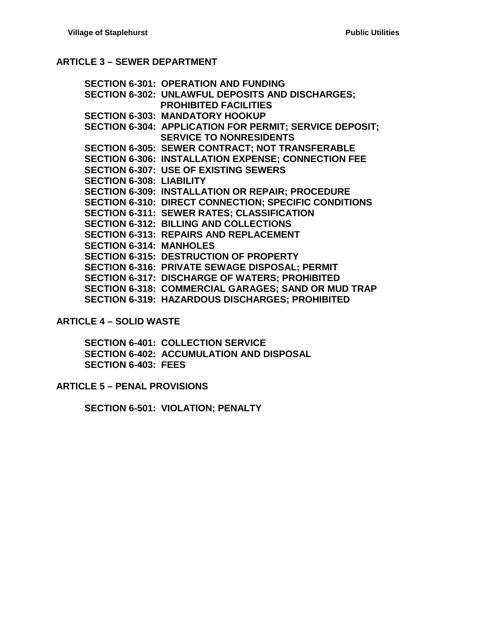### **ARTICLE 3 – [SEWER DEPARTMENT](#page-16-0)**

**[SECTION 6-301: OPERATION AND FUNDING](#page-16-1) [SECTION 6-302: UNLAWFUL DEPOSITS AND DISCHARGES;](#page-16-2)  [PROHIBITED FACILITIES](#page-16-2) [SECTION 6-303: MANDATORY HOOKUP](#page-16-3) [SECTION 6-304: APPLICATION FOR PERMIT; SERVICE DEPOSIT;](#page-17-0)  [SERVICE TO NONRESIDENTS](#page-17-0) [SECTION 6-305: SEWER CONTRACT; NOT TRANSFERABLE](#page-17-1) [SECTION 6-306: INSTALLATION EXPENSE; CONNECTION FEE](#page-18-0) [SECTION 6-307: USE OF EXISTING SEWERS](#page-18-1) [SECTION 6-308: LIABILITY](#page-18-2) [SECTION 6-309: INSTALLATION OR REPAIR; PROCEDURE](#page-18-3) [SECTION 6-310: DIRECT CONNECTION; SPECIFIC CONDITIONS](#page-19-0) [SECTION 6-311: SEWER RATES; CLASSIFICATION](#page-19-1) [SECTION 6-312: BILLING AND COLLECTIONS](#page-19-2) [SECTION 6-313: REPAIRS AND REPLACEMENT](#page-20-0) [SECTION 6-314: MANHOLES](#page-20-1) [SECTION 6-315: DESTRUCTION OF PROPERTY](#page-20-2) [SECTION 6-316: PRIVATE SEWAGE](#page-20-3) DISPOSAL; PERMIT [SECTION 6-317: DISCHARGE OF WATERS; PROHIBITED](#page-21-0) [SECTION 6-318: COMMERCIAL GARAGES; SAND OR MUD TRAP](#page-21-1) [SECTION 6-319: HAZARDOUS DISCHARGES; PROHIBITED](#page-21-2)**

**ARTICLE 4 – [SOLID WASTE](#page-24-0)**

**[SECTION 6-401: COLLECTION SERVICE](#page-24-1) [SECTION 6-402: ACCUMULATION AND DISPOSAL](#page-24-2) [SECTION 6-403: FEES](#page-24-3)**

**ARTICLE 5 – [PENAL PROVISIONS](#page-26-0)**

**[SECTION 6-501: VIOLATION; PENALTY](#page-26-1)**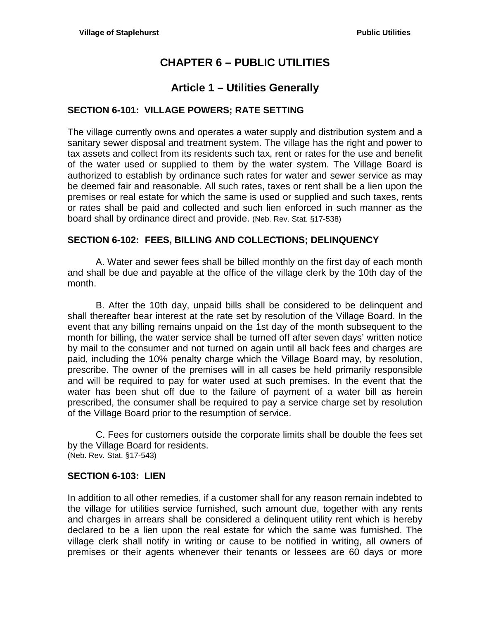# **CHAPTER 6 – PUBLIC UTILITIES**

# **Article 1 – Utilities Generally**

## <span id="page-2-2"></span><span id="page-2-1"></span><span id="page-2-0"></span>**SECTION 6-101: VILLAGE POWERS; RATE SETTING**

The village currently owns and operates a water supply and distribution system and a sanitary sewer disposal and treatment system. The village has the right and power to tax assets and collect from its residents such tax, rent or rates for the use and benefit of the water used or supplied to them by the water system. The Village Board is authorized to establish by ordinance such rates for water and sewer service as may be deemed fair and reasonable. All such rates, taxes or rent shall be a lien upon the premises or real estate for which the same is used or supplied and such taxes, rents or rates shall be paid and collected and such lien enforced in such manner as the board shall by ordinance direct and provide. (Neb. Rev. Stat. §17-538)

### <span id="page-2-3"></span>**SECTION 6-102: FEES, BILLING AND COLLECTIONS; DELINQUENCY**

A. Water and sewer fees shall be billed monthly on the first day of each month and shall be due and payable at the office of the village clerk by the 10th day of the month.

B. After the 10th day, unpaid bills shall be considered to be delinquent and shall thereafter bear interest at the rate set by resolution of the Village Board. In the event that any billing remains unpaid on the 1st day of the month subsequent to the month for billing, the water service shall be turned off after seven days' written notice by mail to the consumer and not turned on again until all back fees and charges are paid, including the 10% penalty charge which the Village Board may, by resolution, prescribe. The owner of the premises will in all cases be held primarily responsible and will be required to pay for water used at such premises. In the event that the water has been shut off due to the failure of payment of a water bill as herein prescribed, the consumer shall be required to pay a service charge set by resolution of the Village Board prior to the resumption of service.

C. Fees for customers outside the corporate limits shall be double the fees set by the Village Board for residents. (Neb. Rev. Stat. §17-543)

### <span id="page-2-4"></span>**SECTION 6-103: LIEN**

In addition to all other remedies, if a customer shall for any reason remain indebted to the village for utilities service furnished, such amount due, together with any rents and charges in arrears shall be considered a delinquent utility rent which is hereby declared to be a lien upon the real estate for which the same was furnished. The village clerk shall notify in writing or cause to be notified in writing, all owners of premises or their agents whenever their tenants or lessees are 60 days or more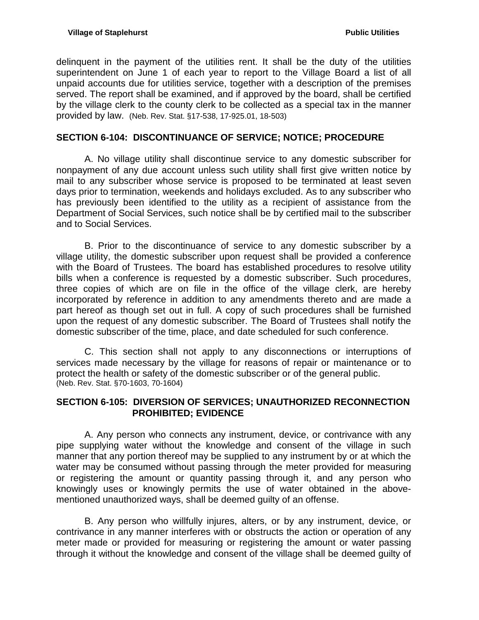delinquent in the payment of the utilities rent. It shall be the duty of the utilities superintendent on June 1 of each year to report to the Village Board a list of all unpaid accounts due for utilities service, together with a description of the premises served. The report shall be examined, and if approved by the board, shall be certified by the village clerk to the county clerk to be collected as a special tax in the manner provided by law. (Neb. Rev. Stat. §17-538, 17-925.01, 18-503)

## <span id="page-3-0"></span>**SECTION 6-104: DISCONTINUANCE OF SERVICE; NOTICE; PROCEDURE**

A. No village utility shall discontinue service to any domestic subscriber for nonpayment of any due account unless such utility shall first give written notice by mail to any subscriber whose service is proposed to be terminated at least seven days prior to termination, weekends and holidays excluded. As to any subscriber who has previously been identified to the utility as a recipient of assistance from the Department of Social Services, such notice shall be by certified mail to the subscriber and to Social Services.

B. Prior to the discontinuance of service to any domestic subscriber by a village utility, the domestic subscriber upon request shall be provided a conference with the Board of Trustees. The board has established procedures to resolve utility bills when a conference is requested by a domestic subscriber. Such procedures, three copies of which are on file in the office of the village clerk, are hereby incorporated by reference in addition to any amendments thereto and are made a part hereof as though set out in full. A copy of such procedures shall be furnished upon the request of any domestic subscriber. The Board of Trustees shall notify the domestic subscriber of the time, place, and date scheduled for such conference.

C. This section shall not apply to any disconnections or interruptions of services made necessary by the village for reasons of repair or maintenance or to protect the health or safety of the domestic subscriber or of the general public. (Neb. Rev. Stat. §70-1603, 70-1604)

### <span id="page-3-1"></span>**SECTION 6-105: DIVERSION OF SERVICES; UNAUTHORIZED RECONNECTION PROHIBITED; EVIDENCE**

A. Any person who connects any instrument, device, or contrivance with any pipe supplying water without the knowledge and consent of the village in such manner that any portion thereof may be supplied to any instrument by or at which the water may be consumed without passing through the meter provided for measuring or registering the amount or quantity passing through it, and any person who knowingly uses or knowingly permits the use of water obtained in the abovementioned unauthorized ways, shall be deemed guilty of an offense.

B. Any person who willfully injures, alters, or by any instrument, device, or contrivance in any manner interferes with or obstructs the action or operation of any meter made or provided for measuring or registering the amount or water passing through it without the knowledge and consent of the village shall be deemed guilty of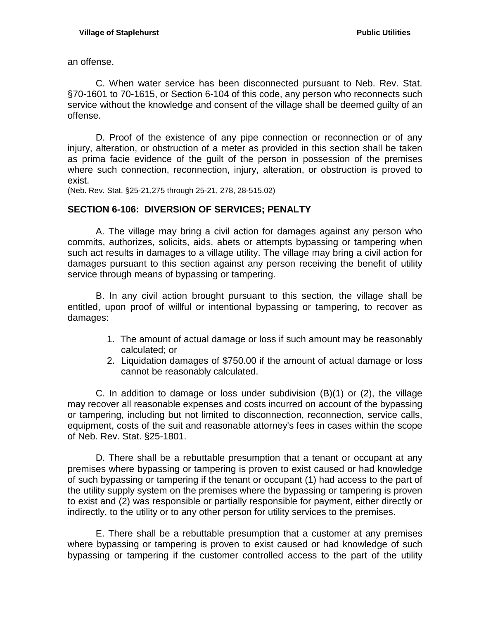an offense.

C. When water service has been disconnected pursuant to Neb. Rev. Stat. §70-1601 to 70-1615, or Section 6-104 of this code, any person who reconnects such service without the knowledge and consent of the village shall be deemed guilty of an offense.

D. Proof of the existence of any pipe connection or reconnection or of any injury, alteration, or obstruction of a meter as provided in this section shall be taken as prima facie evidence of the guilt of the person in possession of the premises where such connection, reconnection, injury, alteration, or obstruction is proved to exist.

(Neb. Rev. Stat. §25-21,275 through 25-21, 278, 28-515.02)

## <span id="page-4-0"></span>**SECTION 6-106: DIVERSION OF SERVICES; PENALTY**

A. The village may bring a civil action for damages against any person who commits, authorizes, solicits, aids, abets or attempts bypassing or tampering when such act results in damages to a village utility. The village may bring a civil action for damages pursuant to this section against any person receiving the benefit of utility service through means of bypassing or tampering.

B. In any civil action brought pursuant to this section, the village shall be entitled, upon proof of willful or intentional bypassing or tampering, to recover as damages:

- 1. The amount of actual damage or loss if such amount may be reasonably calculated; or
- 2. Liquidation damages of \$750.00 if the amount of actual damage or loss cannot be reasonably calculated.

C. In addition to damage or loss under subdivision (B)(1) or (2), the village may recover all reasonable expenses and costs incurred on account of the bypassing or tampering, including but not limited to disconnection, reconnection, service calls, equipment, costs of the suit and reasonable attorney's fees in cases within the scope of Neb. Rev. Stat. §25-1801.

D. There shall be a rebuttable presumption that a tenant or occupant at any premises where bypassing or tampering is proven to exist caused or had knowledge of such bypassing or tampering if the tenant or occupant (1) had access to the part of the utility supply system on the premises where the bypassing or tampering is proven to exist and (2) was responsible or partially responsible for payment, either directly or indirectly, to the utility or to any other person for utility services to the premises.

E. There shall be a rebuttable presumption that a customer at any premises where bypassing or tampering is proven to exist caused or had knowledge of such bypassing or tampering if the customer controlled access to the part of the utility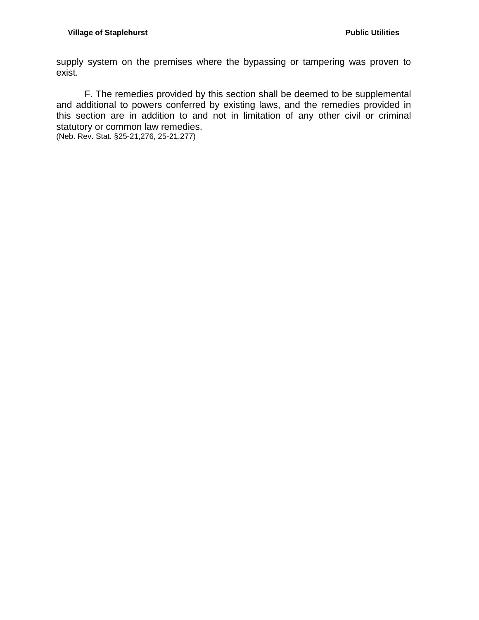supply system on the premises where the bypassing or tampering was proven to exist.

F. The remedies provided by this section shall be deemed to be supplemental and additional to powers conferred by existing laws, and the remedies provided in this section are in addition to and not in limitation of any other civil or criminal statutory or common law remedies.

(Neb. Rev. Stat. §25-21,276, 25-21,277)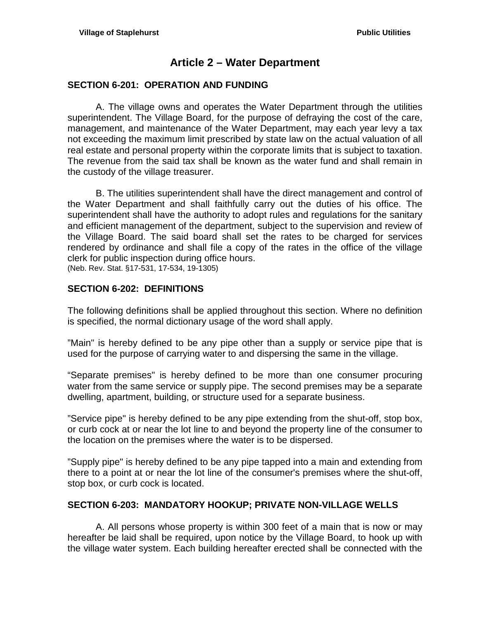# **Article 2 – Water Department**

### <span id="page-6-1"></span><span id="page-6-0"></span>**SECTION 6-201: OPERATION AND FUNDING**

A. The village owns and operates the Water Department through the utilities superintendent. The Village Board, for the purpose of defraying the cost of the care, management, and maintenance of the Water Department, may each year levy a tax not exceeding the maximum limit prescribed by state law on the actual valuation of all real estate and personal property within the corporate limits that is subject to taxation. The revenue from the said tax shall be known as the water fund and shall remain in the custody of the village treasurer.

B. The utilities superintendent shall have the direct management and control of the Water Department and shall faithfully carry out the duties of his office. The superintendent shall have the authority to adopt rules and regulations for the sanitary and efficient management of the department, subject to the supervision and review of the Village Board. The said board shall set the rates to be charged for services rendered by ordinance and shall file a copy of the rates in the office of the village clerk for public inspection during office hours. (Neb. Rev. Stat. §17-531, 17-534, 19-1305)

# <span id="page-6-2"></span>**SECTION 6-202: DEFINITIONS**

The following definitions shall be applied throughout this section. Where no definition is specified, the normal dictionary usage of the word shall apply.

"Main" is hereby defined to be any pipe other than a supply or service pipe that is used for the purpose of carrying water to and dispersing the same in the village.

"Separate premises" is hereby defined to be more than one consumer procuring water from the same service or supply pipe. The second premises may be a separate dwelling, apartment, building, or structure used for a separate business.

"Service pipe" is hereby defined to be any pipe extending from the shut-off, stop box, or curb cock at or near the lot line to and beyond the property line of the consumer to the location on the premises where the water is to be dispersed.

"Supply pipe" is hereby defined to be any pipe tapped into a main and extending from there to a point at or near the lot line of the consumer's premises where the shut-off, stop box, or curb cock is located.

# <span id="page-6-3"></span>**SECTION 6-203: MANDATORY HOOKUP; PRIVATE NON-VILLAGE WELLS**

A. All persons whose property is within 300 feet of a main that is now or may hereafter be laid shall be required, upon notice by the Village Board, to hook up with the village water system. Each building hereafter erected shall be connected with the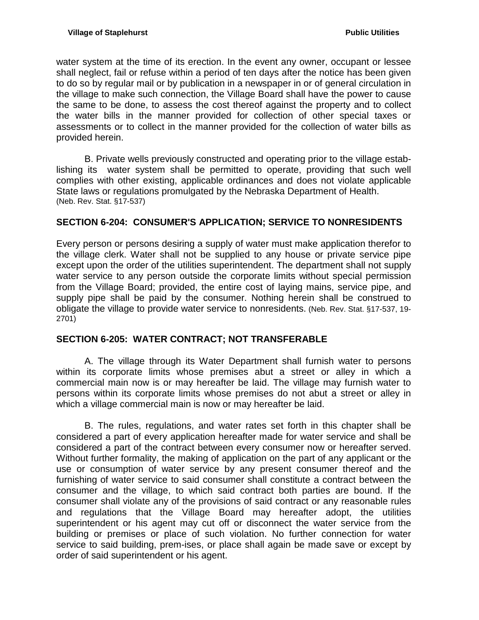water system at the time of its erection. In the event any owner, occupant or lessee shall neglect, fail or refuse within a period of ten days after the notice has been given to do so by regular mail or by publication in a newspaper in or of general circulation in the village to make such connection, the Village Board shall have the power to cause the same to be done, to assess the cost thereof against the property and to collect the water bills in the manner provided for collection of other special taxes or assessments or to collect in the manner provided for the collection of water bills as provided herein.

B. Private wells previously constructed and operating prior to the village establishing its water system shall be permitted to operate, providing that such well complies with other existing, applicable ordinances and does not violate applicable State laws or regulations promulgated by the Nebraska Department of Health. (Neb. Rev. Stat. §17-537)

## <span id="page-7-0"></span>**SECTION 6-204: CONSUMER'S APPLICATION; SERVICE TO NONRESIDENTS**

Every person or persons desiring a supply of water must make application therefor to the village clerk. Water shall not be supplied to any house or private service pipe except upon the order of the utilities superintendent. The department shall not supply water service to any person outside the corporate limits without special permission from the Village Board; provided, the entire cost of laying mains, service pipe, and supply pipe shall be paid by the consumer. Nothing herein shall be construed to obligate the village to provide water service to nonresidents. (Neb. Rev. Stat. §17-537, 19- 2701)

# <span id="page-7-1"></span>**SECTION 6-205: WATER CONTRACT; NOT TRANSFERABLE**

A. The village through its Water Department shall furnish water to persons within its corporate limits whose premises abut a street or alley in which a commercial main now is or may hereafter be laid. The village may furnish water to persons within its corporate limits whose premises do not abut a street or alley in which a village commercial main is now or may hereafter be laid.

B. The rules, regulations, and water rates set forth in this chapter shall be considered a part of every application hereafter made for water service and shall be considered a part of the contract between every consumer now or hereafter served. Without further formality, the making of application on the part of any applicant or the use or consumption of water service by any present consumer thereof and the furnishing of water service to said consumer shall constitute a contract between the consumer and the village, to which said contract both parties are bound. If the consumer shall violate any of the provisions of said contract or any reasonable rules and regulations that the Village Board may hereafter adopt, the utilities superintendent or his agent may cut off or disconnect the water service from the building or premises or place of such violation. No further connection for water service to said building, prem-ises, or place shall again be made save or except by order of said superintendent or his agent.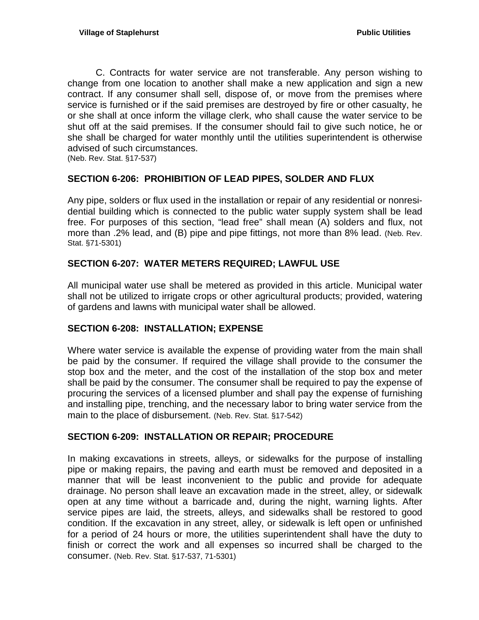C. Contracts for water service are not transferable. Any person wishing to change from one location to another shall make a new application and sign a new contract. If any consumer shall sell, dispose of, or move from the premises where service is furnished or if the said premises are destroyed by fire or other casualty, he or she shall at once inform the village clerk, who shall cause the water service to be shut off at the said premises. If the consumer should fail to give such notice, he or she shall be charged for water monthly until the utilities superintendent is otherwise advised of such circumstances.

(Neb. Rev. Stat. §17-537)

# <span id="page-8-0"></span>**SECTION 6-206: PROHIBITION OF LEAD PIPES, SOLDER AND FLUX**

Any pipe, solders or flux used in the installation or repair of any residential or nonresidential building which is connected to the public water supply system shall be lead free. For purposes of this section, "lead free" shall mean (A) solders and flux, not more than .2% lead, and (B) pipe and pipe fittings, not more than 8% lead. (Neb. Rev. Stat. §71-5301)

## <span id="page-8-1"></span>**SECTION 6-207: WATER METERS REQUIRED; LAWFUL USE**

All municipal water use shall be metered as provided in this article. Municipal water shall not be utilized to irrigate crops or other agricultural products; provided, watering of gardens and lawns with municipal water shall be allowed.

### <span id="page-8-2"></span>**SECTION 6-208: INSTALLATION; EXPENSE**

Where water service is available the expense of providing water from the main shall be paid by the consumer. If required the village shall provide to the consumer the stop box and the meter, and the cost of the installation of the stop box and meter shall be paid by the consumer. The consumer shall be required to pay the expense of procuring the services of a licensed plumber and shall pay the expense of furnishing and installing pipe, trenching, and the necessary labor to bring water service from the main to the place of disbursement. (Neb. Rev. Stat. §17-542)

### <span id="page-8-3"></span>**SECTION 6-209: INSTALLATION OR REPAIR; PROCEDURE**

In making excavations in streets, alleys, or sidewalks for the purpose of installing pipe or making repairs, the paving and earth must be removed and deposited in a manner that will be least inconvenient to the public and provide for adequate drainage. No person shall leave an excavation made in the street, alley, or sidewalk open at any time without a barricade and, during the night, warning lights. After service pipes are laid, the streets, alleys, and sidewalks shall be restored to good condition. If the excavation in any street, alley, or sidewalk is left open or unfinished for a period of 24 hours or more, the utilities superintendent shall have the duty to finish or correct the work and all expenses so incurred shall be charged to the consumer. (Neb. Rev. Stat. §17-537, 71-5301)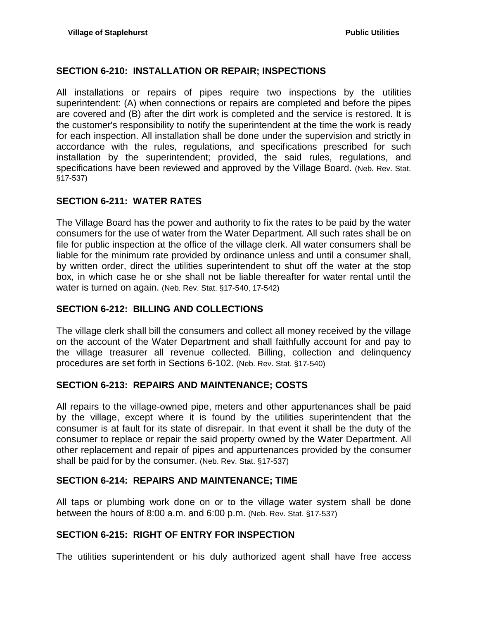## <span id="page-9-0"></span>**SECTION 6-210: INSTALLATION OR REPAIR; INSPECTIONS**

All installations or repairs of pipes require two inspections by the utilities superintendent: (A) when connections or repairs are completed and before the pipes are covered and (B) after the dirt work is completed and the service is restored. It is the customer's responsibility to notify the superintendent at the time the work is ready for each inspection. All installation shall be done under the supervision and strictly in accordance with the rules, regulations, and specifications prescribed for such installation by the superintendent; provided, the said rules, regulations, and specifications have been reviewed and approved by the Village Board. (Neb. Rev. Stat. §17-537)

# <span id="page-9-1"></span>**SECTION 6-211: WATER RATES**

The Village Board has the power and authority to fix the rates to be paid by the water consumers for the use of water from the Water Department. All such rates shall be on file for public inspection at the office of the village clerk. All water consumers shall be liable for the minimum rate provided by ordinance unless and until a consumer shall, by written order, direct the utilities superintendent to shut off the water at the stop box, in which case he or she shall not be liable thereafter for water rental until the water is turned on again. (Neb. Rev. Stat. §17-540, 17-542)

## <span id="page-9-2"></span>**SECTION 6-212: BILLING AND COLLECTIONS**

The village clerk shall bill the consumers and collect all money received by the village on the account of the Water Department and shall faithfully account for and pay to the village treasurer all revenue collected. Billing, collection and delinquency procedures are set forth in Sections 6-102. (Neb. Rev. Stat. §17-540)

### <span id="page-9-3"></span>**SECTION 6-213: REPAIRS AND MAINTENANCE; COSTS**

All repairs to the village-owned pipe, meters and other appurtenances shall be paid by the village, except where it is found by the utilities superintendent that the consumer is at fault for its state of disrepair. In that event it shall be the duty of the consumer to replace or repair the said property owned by the Water Department. All other replacement and repair of pipes and appurtenances provided by the consumer shall be paid for by the consumer. (Neb. Rev. Stat. §17-537)

### <span id="page-9-4"></span>**SECTION 6-214: REPAIRS AND MAINTENANCE; TIME**

All taps or plumbing work done on or to the village water system shall be done between the hours of 8:00 a.m. and 6:00 p.m. (Neb. Rev. Stat. §17-537)

# <span id="page-9-5"></span>**SECTION 6-215: RIGHT OF ENTRY FOR INSPECTION**

The utilities superintendent or his duly authorized agent shall have free access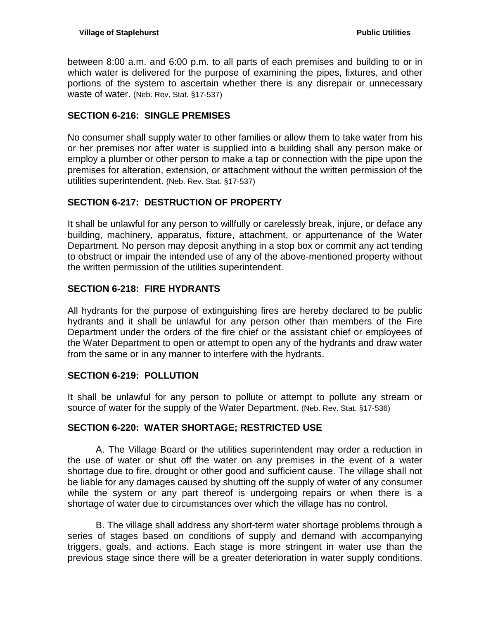between 8:00 a.m. and 6:00 p.m. to all parts of each premises and building to or in which water is delivered for the purpose of examining the pipes, fixtures, and other portions of the system to ascertain whether there is any disrepair or unnecessary waste of water. (Neb. Rev. Stat. §17-537)

## <span id="page-10-0"></span>**SECTION 6-216: SINGLE PREMISES**

No consumer shall supply water to other families or allow them to take water from his or her premises nor after water is supplied into a building shall any person make or employ a plumber or other person to make a tap or connection with the pipe upon the premises for alteration, extension, or attachment without the written permission of the utilities superintendent. (Neb. Rev. Stat. §17-537)

# <span id="page-10-1"></span>**SECTION 6-217: DESTRUCTION OF PROPERTY**

It shall be unlawful for any person to willfully or carelessly break, injure, or deface any building, machinery, apparatus, fixture, attachment, or appurtenance of the Water Department. No person may deposit anything in a stop box or commit any act tending to obstruct or impair the intended use of any of the above-mentioned property without the written permission of the utilities superintendent.

## <span id="page-10-2"></span>**SECTION 6-218: FIRE HYDRANTS**

All hydrants for the purpose of extinguishing fires are hereby declared to be public hydrants and it shall be unlawful for any person other than members of the Fire Department under the orders of the fire chief or the assistant chief or employees of the Water Department to open or attempt to open any of the hydrants and draw water from the same or in any manner to interfere with the hydrants.

### <span id="page-10-3"></span>**SECTION 6-219: POLLUTION**

It shall be unlawful for any person to pollute or attempt to pollute any stream or source of water for the supply of the Water Department. (Neb. Rev. Stat. §17-536)

### <span id="page-10-4"></span>**SECTION 6-220: WATER SHORTAGE; RESTRICTED USE**

A. The Village Board or the utilities superintendent may order a reduction in the use of water or shut off the water on any premises in the event of a water shortage due to fire, drought or other good and sufficient cause. The village shall not be liable for any damages caused by shutting off the supply of water of any consumer while the system or any part thereof is undergoing repairs or when there is a shortage of water due to circumstances over which the village has no control.

B. The village shall address any short-term water shortage problems through a series of stages based on conditions of supply and demand with accompanying triggers, goals, and actions. Each stage is more stringent in water use than the previous stage since there will be a greater deterioration in water supply conditions.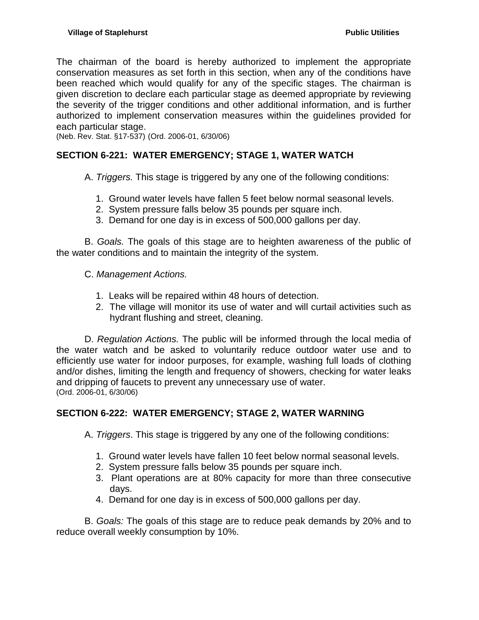The chairman of the board is hereby authorized to implement the appropriate conservation measures as set forth in this section, when any of the conditions have been reached which would qualify for any of the specific stages. The chairman is given discretion to declare each particular stage as deemed appropriate by reviewing the severity of the trigger conditions and other additional information, and is further authorized to implement conservation measures within the guidelines provided for each particular stage.

(Neb. Rev. Stat. §17-537) (Ord. 2006-01, 6/30/06)

# <span id="page-11-0"></span>**SECTION 6-221: WATER EMERGENCY; STAGE 1, WATER WATCH**

A. *Triggers.* This stage is triggered by any one of the following conditions:

- 1. Ground water levels have fallen 5 feet below normal seasonal levels.
- 2. System pressure falls below 35 pounds per square inch.
- 3. Demand for one day is in excess of 500,000 gallons per day.

B. *Goals.* The goals of this stage are to heighten awareness of the public of the water conditions and to maintain the integrity of the system.

- C. *Management Actions.*
	- 1. Leaks will be repaired within 48 hours of detection.
	- 2. The village will monitor its use of water and will curtail activities such as hydrant flushing and street, cleaning.

D. *Regulation Actions.* The public will be informed through the local media of the water watch and be asked to voluntarily reduce outdoor water use and to efficiently use water for indoor purposes, for example, washing full loads of clothing and/or dishes, limiting the length and frequency of showers, checking for water leaks and dripping of faucets to prevent any unnecessary use of water. (Ord. 2006-01, 6/30/06)

### <span id="page-11-1"></span>**SECTION 6-222: WATER EMERGENCY; STAGE 2, WATER WARNING**

A. *Triggers*. This stage is triggered by any one of the following conditions:

- 1. Ground water levels have fallen 10 feet below normal seasonal levels.
- 2. System pressure falls below 35 pounds per square inch.
- 3. Plant operations are at 80% capacity for more than three consecutive days.
- 4. Demand for one day is in excess of 500,000 gallons per day.

B. *Goals:* The goals of this stage are to reduce peak demands by 20% and to reduce overall weekly consumption by 10%.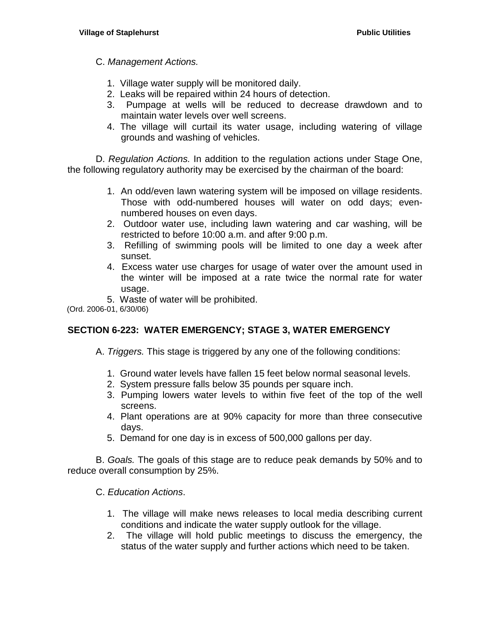C. *Management Actions.*

- 1. Village water supply will be monitored daily.
- 2. Leaks will be repaired within 24 hours of detection.
- 3. Pumpage at wells will be reduced to decrease drawdown and to maintain water levels over well screens.
- 4. The village will curtail its water usage, including watering of village grounds and washing of vehicles.

D. *Regulation Actions.* In addition to the regulation actions under Stage One, the following regulatory authority may be exercised by the chairman of the board:

- 1. An odd/even lawn watering system will be imposed on village residents. Those with odd-numbered houses will water on odd days; evennumbered houses on even days.
- 2. Outdoor water use, including lawn watering and car washing, will be restricted to before 10:00 a.m. and after 9:00 p.m.
- 3. Refilling of swimming pools will be limited to one day a week after sunset.
- 4. Excess water use charges for usage of water over the amount used in the winter will be imposed at a rate twice the normal rate for water usage.
- 5. Waste of water will be prohibited.

(Ord. 2006-01, 6/30/06)

# <span id="page-12-0"></span>**SECTION 6-223: WATER EMERGENCY; STAGE 3, WATER EMERGENCY**

- A. *Triggers.* This stage is triggered by any one of the following conditions:
	- 1. Ground water levels have fallen 15 feet below normal seasonal levels.
	- 2. System pressure falls below 35 pounds per square inch.
	- 3. Pumping lowers water levels to within five feet of the top of the well screens.
	- 4. Plant operations are at 90% capacity for more than three consecutive days.
	- 5. Demand for one day is in excess of 500,000 gallons per day.

B. *Goals.* The goals of this stage are to reduce peak demands by 50% and to reduce overall consumption by 25%.

C. *Education Actions*.

- 1. The village will make news releases to local media describing current conditions and indicate the water supply outlook for the village.
- 2. The village will hold public meetings to discuss the emergency, the status of the water supply and further actions which need to be taken.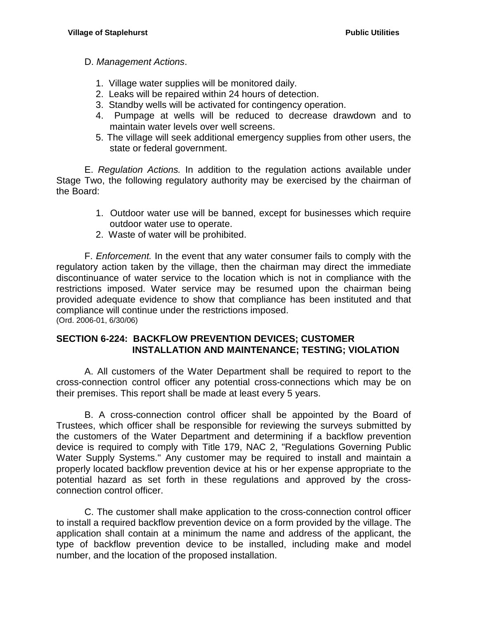### D. *Management Actions*.

- 1. Village water supplies will be monitored daily.
- 2. Leaks will be repaired within 24 hours of detection.
- 3. Standby wells will be activated for contingency operation.
- 4. Pumpage at wells will be reduced to decrease drawdown and to maintain water levels over well screens.
- 5. The village will seek additional emergency supplies from other users, the state or federal government.

E. *Regulation Actions.* In addition to the regulation actions available under Stage Two, the following regulatory authority may be exercised by the chairman of the Board:

- 1. Outdoor water use will be banned, except for businesses which require outdoor water use to operate.
- 2. Waste of water will be prohibited.

F. *Enforcement.* In the event that any water consumer fails to comply with the regulatory action taken by the village, then the chairman may direct the immediate discontinuance of water service to the location which is not in compliance with the restrictions imposed. Water service may be resumed upon the chairman being provided adequate evidence to show that compliance has been instituted and that compliance will continue under the restrictions imposed. (Ord. 2006-01, 6/30/06)

### <span id="page-13-0"></span>**SECTION 6-224: BACKFLOW PREVENTION DEVICES; CUSTOMER INSTALLATION AND MAINTENANCE; TESTING; VIOLATION**

A. All customers of the Water Department shall be required to report to the cross-connection control officer any potential cross-connections which may be on their premises. This report shall be made at least every 5 years.

B. A cross-connection control officer shall be appointed by the Board of Trustees, which officer shall be responsible for reviewing the surveys submitted by the customers of the Water Department and determining if a backflow prevention device is required to comply with Title 179, NAC 2, "Regulations Governing Public Water Supply Systems." Any customer may be required to install and maintain a properly located backflow prevention device at his or her expense appropriate to the potential hazard as set forth in these regulations and approved by the crossconnection control officer.

C. The customer shall make application to the cross-connection control officer to install a required backflow prevention device on a form provided by the village. The application shall contain at a minimum the name and address of the applicant, the type of backflow prevention device to be installed, including make and model number, and the location of the proposed installation.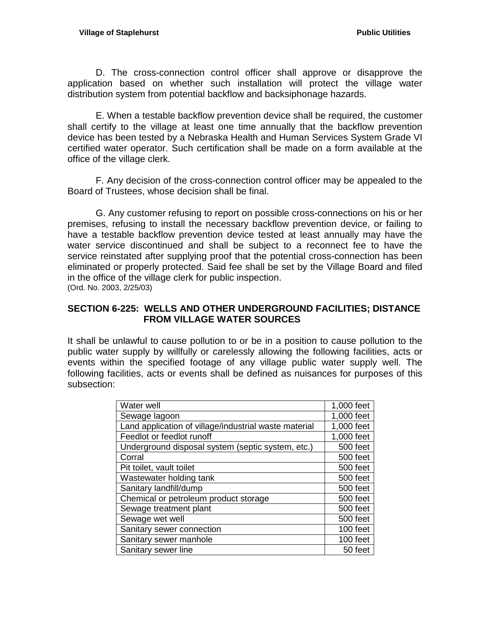D. The cross-connection control officer shall approve or disapprove the application based on whether such installation will protect the village water distribution system from potential backflow and backsiphonage hazards.

E. When a testable backflow prevention device shall be required, the customer shall certify to the village at least one time annually that the backflow prevention device has been tested by a Nebraska Health and Human Services System Grade VI certified water operator. Such certification shall be made on a form available at the office of the village clerk.

F. Any decision of the cross-connection control officer may be appealed to the Board of Trustees, whose decision shall be final.

G. Any customer refusing to report on possible cross-connections on his or her premises, refusing to install the necessary backflow prevention device, or failing to have a testable backflow prevention device tested at least annually may have the water service discontinued and shall be subject to a reconnect fee to have the service reinstated after supplying proof that the potential cross-connection has been eliminated or properly protected. Said fee shall be set by the Village Board and filed in the office of the village clerk for public inspection. (Ord. No. 2003, 2/25/03)

### <span id="page-14-0"></span>**SECTION 6-225: WELLS AND OTHER UNDERGROUND FACILITIES; DISTANCE FROM VILLAGE WATER SOURCES**

It shall be unlawful to cause pollution to or be in a position to cause pollution to the public water supply by willfully or carelessly allowing the following facilities, acts or events within the specified footage of any village public water supply well. The following facilities, acts or events shall be defined as nuisances for purposes of this subsection:

| Water well                                            | 1,000 feet |
|-------------------------------------------------------|------------|
| Sewage lagoon                                         | 1,000 feet |
| Land application of village/industrial waste material | 1,000 feet |
| Feedlot or feedlot runoff                             | 1,000 feet |
| Underground disposal system (septic system, etc.)     | 500 feet   |
| Corral                                                | 500 feet   |
| Pit toilet, vault toilet                              | 500 feet   |
| Wastewater holding tank                               | 500 feet   |
| Sanitary landfill/dump                                | 500 feet   |
| Chemical or petroleum product storage                 | 500 feet   |
| Sewage treatment plant                                | 500 feet   |
| Sewage wet well                                       | 500 feet   |
| Sanitary sewer connection                             | 100 feet   |
| Sanitary sewer manhole                                | 100 feet   |
| Sanitary sewer line                                   | 50 feet    |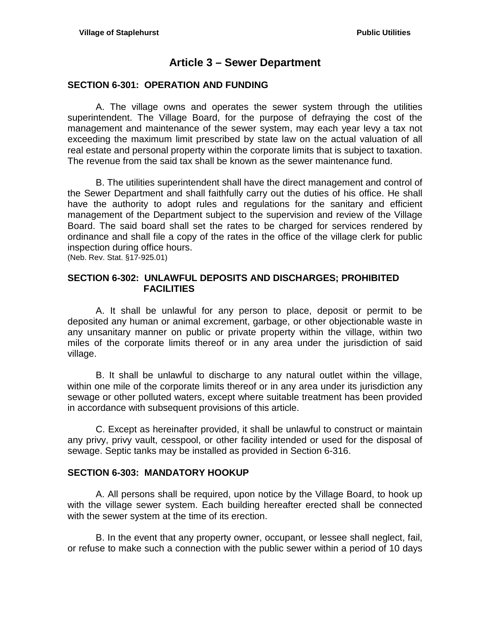# **Article 3 – Sewer Department**

### <span id="page-16-1"></span><span id="page-16-0"></span>**SECTION 6-301: OPERATION AND FUNDING**

A. The village owns and operates the sewer system through the utilities superintendent. The Village Board, for the purpose of defraying the cost of the management and maintenance of the sewer system, may each year levy a tax not exceeding the maximum limit prescribed by state law on the actual valuation of all real estate and personal property within the corporate limits that is subject to taxation. The revenue from the said tax shall be known as the sewer maintenance fund.

B. The utilities superintendent shall have the direct management and control of the Sewer Department and shall faithfully carry out the duties of his office. He shall have the authority to adopt rules and regulations for the sanitary and efficient management of the Department subject to the supervision and review of the Village Board. The said board shall set the rates to be charged for services rendered by ordinance and shall file a copy of the rates in the office of the village clerk for public inspection during office hours.

(Neb. Rev. Stat. §17-925.01)

## <span id="page-16-2"></span>**SECTION 6-302: UNLAWFUL DEPOSITS AND DISCHARGES; PROHIBITED FACILITIES**

A. It shall be unlawful for any person to place, deposit or permit to be deposited any human or animal excrement, garbage, or other objectionable waste in any unsanitary manner on public or private property within the village, within two miles of the corporate limits thereof or in any area under the jurisdiction of said village.

B. It shall be unlawful to discharge to any natural outlet within the village, within one mile of the corporate limits thereof or in any area under its jurisdiction any sewage or other polluted waters, except where suitable treatment has been provided in accordance with subsequent provisions of this article.

C. Except as hereinafter provided, it shall be unlawful to construct or maintain any privy, privy vault, cesspool, or other facility intended or used for the disposal of sewage. Septic tanks may be installed as provided in Section 6-316.

# <span id="page-16-3"></span>**SECTION 6-303: MANDATORY HOOKUP**

A. All persons shall be required, upon notice by the Village Board, to hook up with the village sewer system. Each building hereafter erected shall be connected with the sewer system at the time of its erection.

B. In the event that any property owner, occupant, or lessee shall neglect, fail, or refuse to make such a connection with the public sewer within a period of 10 days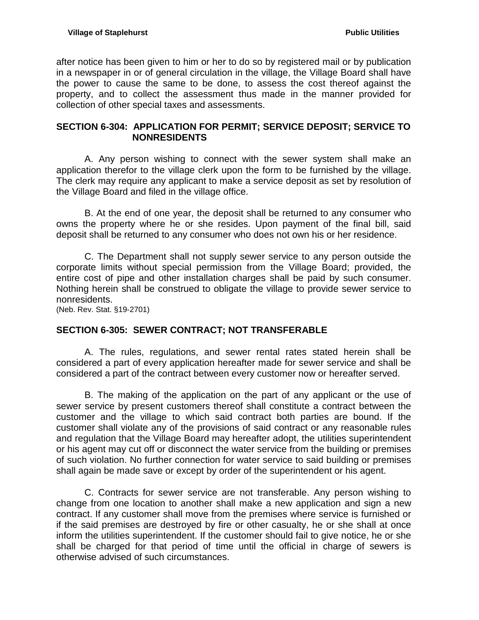after notice has been given to him or her to do so by registered mail or by publication in a newspaper in or of general circulation in the village, the Village Board shall have the power to cause the same to be done, to assess the cost thereof against the property, and to collect the assessment thus made in the manner provided for collection of other special taxes and assessments.

## <span id="page-17-0"></span>**SECTION 6-304: APPLICATION FOR PERMIT; SERVICE DEPOSIT; SERVICE TO NONRESIDENTS**

A. Any person wishing to connect with the sewer system shall make an application therefor to the village clerk upon the form to be furnished by the village. The clerk may require any applicant to make a service deposit as set by resolution of the Village Board and filed in the village office.

B. At the end of one year, the deposit shall be returned to any consumer who owns the property where he or she resides. Upon payment of the final bill, said deposit shall be returned to any consumer who does not own his or her residence.

C. The Department shall not supply sewer service to any person outside the corporate limits without special permission from the Village Board; provided, the entire cost of pipe and other installation charges shall be paid by such consumer. Nothing herein shall be construed to obligate the village to provide sewer service to nonresidents.

(Neb. Rev. Stat. §19-2701)

### <span id="page-17-1"></span>**SECTION 6-305: SEWER CONTRACT; NOT TRANSFERABLE**

A. The rules, regulations, and sewer rental rates stated herein shall be considered a part of every application hereafter made for sewer service and shall be considered a part of the contract between every customer now or hereafter served.

B. The making of the application on the part of any applicant or the use of sewer service by present customers thereof shall constitute a contract between the customer and the village to which said contract both parties are bound. If the customer shall violate any of the provisions of said contract or any reasonable rules and regulation that the Village Board may hereafter adopt, the utilities superintendent or his agent may cut off or disconnect the water service from the building or premises of such violation. No further connection for water service to said building or premises shall again be made save or except by order of the superintendent or his agent.

C. Contracts for sewer service are not transferable. Any person wishing to change from one location to another shall make a new application and sign a new contract. If any customer shall move from the premises where service is furnished or if the said premises are destroyed by fire or other casualty, he or she shall at once inform the utilities superintendent. If the customer should fail to give notice, he or she shall be charged for that period of time until the official in charge of sewers is otherwise advised of such circumstances.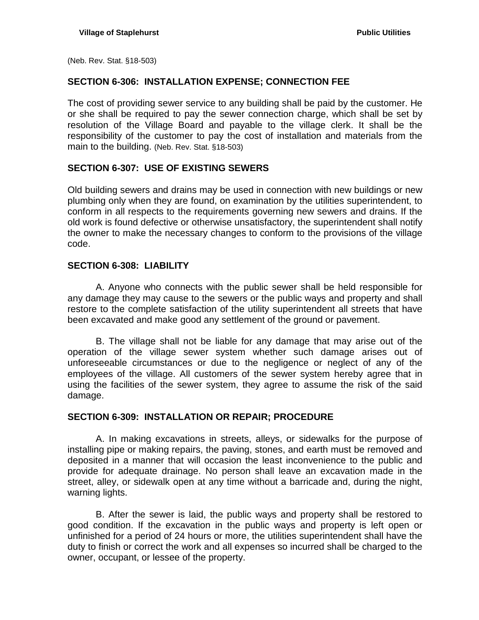(Neb. Rev. Stat. §18-503)

#### <span id="page-18-0"></span>**SECTION 6-306: INSTALLATION EXPENSE; CONNECTION FEE**

The cost of providing sewer service to any building shall be paid by the customer. He or she shall be required to pay the sewer connection charge, which shall be set by resolution of the Village Board and payable to the village clerk. It shall be the responsibility of the customer to pay the cost of installation and materials from the main to the building. (Neb. Rev. Stat. §18-503)

#### <span id="page-18-1"></span>**SECTION 6-307: USE OF EXISTING SEWERS**

Old building sewers and drains may be used in connection with new buildings or new plumbing only when they are found, on examination by the utilities superintendent, to conform in all respects to the requirements governing new sewers and drains. If the old work is found defective or otherwise unsatisfactory, the superintendent shall notify the owner to make the necessary changes to conform to the provisions of the village code.

#### <span id="page-18-2"></span>**SECTION 6-308: LIABILITY**

A. Anyone who connects with the public sewer shall be held responsible for any damage they may cause to the sewers or the public ways and property and shall restore to the complete satisfaction of the utility superintendent all streets that have been excavated and make good any settlement of the ground or pavement.

B. The village shall not be liable for any damage that may arise out of the operation of the village sewer system whether such damage arises out of unforeseeable circumstances or due to the negligence or neglect of any of the employees of the village. All customers of the sewer system hereby agree that in using the facilities of the sewer system, they agree to assume the risk of the said damage.

#### <span id="page-18-3"></span>**SECTION 6-309: INSTALLATION OR REPAIR; PROCEDURE**

A. In making excavations in streets, alleys, or sidewalks for the purpose of installing pipe or making repairs, the paving, stones, and earth must be removed and deposited in a manner that will occasion the least inconvenience to the public and provide for adequate drainage. No person shall leave an excavation made in the street, alley, or sidewalk open at any time without a barricade and, during the night, warning lights.

B. After the sewer is laid, the public ways and property shall be restored to good condition. If the excavation in the public ways and property is left open or unfinished for a period of 24 hours or more, the utilities superintendent shall have the duty to finish or correct the work and all expenses so incurred shall be charged to the owner, occupant, or lessee of the property.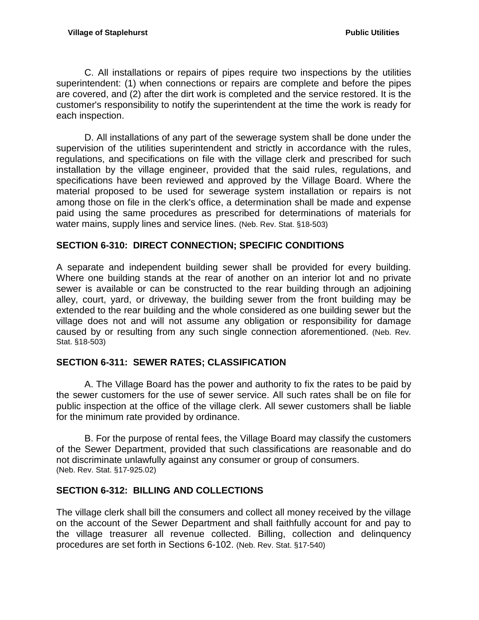C. All installations or repairs of pipes require two inspections by the utilities superintendent: (1) when connections or repairs are complete and before the pipes are covered, and (2) after the dirt work is completed and the service restored. It is the customer's responsibility to notify the superintendent at the time the work is ready for each inspection.

D. All installations of any part of the sewerage system shall be done under the supervision of the utilities superintendent and strictly in accordance with the rules, regulations, and specifications on file with the village clerk and prescribed for such installation by the village engineer, provided that the said rules, regulations, and specifications have been reviewed and approved by the Village Board. Where the material proposed to be used for sewerage system installation or repairs is not among those on file in the clerk's office, a determination shall be made and expense paid using the same procedures as prescribed for determinations of materials for water mains, supply lines and service lines. (Neb. Rev. Stat. §18-503)

# <span id="page-19-0"></span>**SECTION 6-310: DIRECT CONNECTION; SPECIFIC CONDITIONS**

A separate and independent building sewer shall be provided for every building. Where one building stands at the rear of another on an interior lot and no private sewer is available or can be constructed to the rear building through an adjoining alley, court, yard, or driveway, the building sewer from the front building may be extended to the rear building and the whole considered as one building sewer but the village does not and will not assume any obligation or responsibility for damage caused by or resulting from any such single connection aforementioned. (Neb. Rev. Stat. §18-503)

# <span id="page-19-1"></span>**SECTION 6-311: SEWER RATES; CLASSIFICATION**

A. The Village Board has the power and authority to fix the rates to be paid by the sewer customers for the use of sewer service. All such rates shall be on file for public inspection at the office of the village clerk. All sewer customers shall be liable for the minimum rate provided by ordinance.

B. For the purpose of rental fees, the Village Board may classify the customers of the Sewer Department, provided that such classifications are reasonable and do not discriminate unlawfully against any consumer or group of consumers. (Neb. Rev. Stat. §17-925.02)

# <span id="page-19-2"></span>**SECTION 6-312: BILLING AND COLLECTIONS**

The village clerk shall bill the consumers and collect all money received by the village on the account of the Sewer Department and shall faithfully account for and pay to the village treasurer all revenue collected. Billing, collection and delinquency procedures are set forth in Sections 6-102. (Neb. Rev. Stat. §17-540)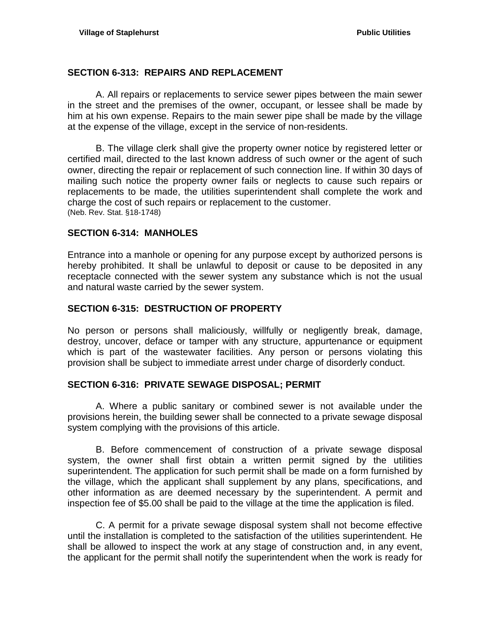## <span id="page-20-0"></span>**SECTION 6-313: REPAIRS AND REPLACEMENT**

A. All repairs or replacements to service sewer pipes between the main sewer in the street and the premises of the owner, occupant, or lessee shall be made by him at his own expense. Repairs to the main sewer pipe shall be made by the village at the expense of the village, except in the service of non-residents.

B. The village clerk shall give the property owner notice by registered letter or certified mail, directed to the last known address of such owner or the agent of such owner, directing the repair or replacement of such connection line. If within 30 days of mailing such notice the property owner fails or neglects to cause such repairs or replacements to be made, the utilities superintendent shall complete the work and charge the cost of such repairs or replacement to the customer. (Neb. Rev. Stat. §18-1748)

### <span id="page-20-1"></span>**SECTION 6-314: MANHOLES**

Entrance into a manhole or opening for any purpose except by authorized persons is hereby prohibited. It shall be unlawful to deposit or cause to be deposited in any receptacle connected with the sewer system any substance which is not the usual and natural waste carried by the sewer system.

### <span id="page-20-2"></span>**SECTION 6-315: DESTRUCTION OF PROPERTY**

No person or persons shall maliciously, willfully or negligently break, damage, destroy, uncover, deface or tamper with any structure, appurtenance or equipment which is part of the wastewater facilities. Any person or persons violating this provision shall be subject to immediate arrest under charge of disorderly conduct.

### <span id="page-20-3"></span>**SECTION 6-316: PRIVATE SEWAGE DISPOSAL; PERMIT**

A. Where a public sanitary or combined sewer is not available under the provisions herein, the building sewer shall be connected to a private sewage disposal system complying with the provisions of this article.

B. Before commencement of construction of a private sewage disposal system, the owner shall first obtain a written permit signed by the utilities superintendent. The application for such permit shall be made on a form furnished by the village, which the applicant shall supplement by any plans, specifications, and other information as are deemed necessary by the superintendent. A permit and inspection fee of \$5.00 shall be paid to the village at the time the application is filed.

C. A permit for a private sewage disposal system shall not become effective until the installation is completed to the satisfaction of the utilities superintendent. He shall be allowed to inspect the work at any stage of construction and, in any event, the applicant for the permit shall notify the superintendent when the work is ready for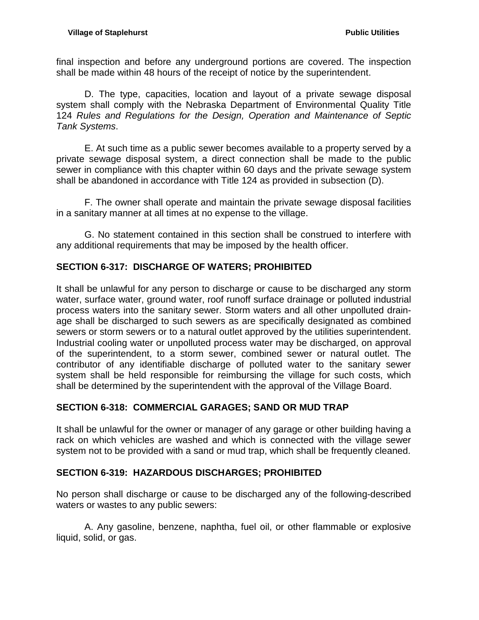final inspection and before any underground portions are covered. The inspection shall be made within 48 hours of the receipt of notice by the superintendent.

D. The type, capacities, location and layout of a private sewage disposal system shall comply with the Nebraska Department of Environmental Quality Title 124 *Rules and Regulations for the Design, Operation and Maintenance of Septic Tank Systems*.

E. At such time as a public sewer becomes available to a property served by a private sewage disposal system, a direct connection shall be made to the public sewer in compliance with this chapter within 60 days and the private sewage system shall be abandoned in accordance with Title 124 as provided in subsection (D).

F. The owner shall operate and maintain the private sewage disposal facilities in a sanitary manner at all times at no expense to the village.

G. No statement contained in this section shall be construed to interfere with any additional requirements that may be imposed by the health officer.

# <span id="page-21-0"></span>**SECTION 6-317: DISCHARGE OF WATERS; PROHIBITED**

It shall be unlawful for any person to discharge or cause to be discharged any storm water, surface water, ground water, roof runoff surface drainage or polluted industrial process waters into the sanitary sewer. Storm waters and all other unpolluted drainage shall be discharged to such sewers as are specifically designated as combined sewers or storm sewers or to a natural outlet approved by the utilities superintendent. Industrial cooling water or unpolluted process water may be discharged, on approval of the superintendent, to a storm sewer, combined sewer or natural outlet. The contributor of any identifiable discharge of polluted water to the sanitary sewer system shall be held responsible for reimbursing the village for such costs, which shall be determined by the superintendent with the approval of the Village Board.

# <span id="page-21-1"></span>**SECTION 6-318: COMMERCIAL GARAGES; SAND OR MUD TRAP**

It shall be unlawful for the owner or manager of any garage or other building having a rack on which vehicles are washed and which is connected with the village sewer system not to be provided with a sand or mud trap, which shall be frequently cleaned.

### <span id="page-21-2"></span>**SECTION 6-319: HAZARDOUS DISCHARGES; PROHIBITED**

No person shall discharge or cause to be discharged any of the following-described waters or wastes to any public sewers:

A. Any gasoline, benzene, naphtha, fuel oil, or other flammable or explosive liquid, solid, or gas.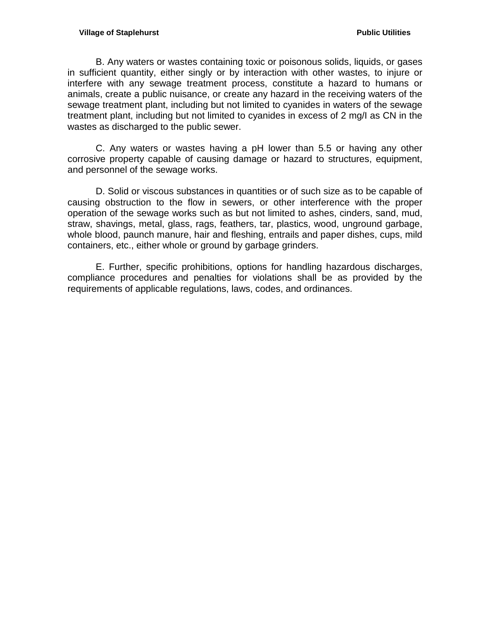B. Any waters or wastes containing toxic or poisonous solids, liquids, or gases in sufficient quantity, either singly or by interaction with other wastes, to injure or interfere with any sewage treatment process, constitute a hazard to humans or animals, create a public nuisance, or create any hazard in the receiving waters of the sewage treatment plant, including but not limited to cyanides in waters of the sewage treatment plant, including but not limited to cyanides in excess of 2 mg/I as CN in the wastes as discharged to the public sewer.

C. Any waters or wastes having a pH lower than 5.5 or having any other corrosive property capable of causing damage or hazard to structures, equipment, and personnel of the sewage works.

D. Solid or viscous substances in quantities or of such size as to be capable of causing obstruction to the flow in sewers, or other interference with the proper operation of the sewage works such as but not limited to ashes, cinders, sand, mud, straw, shavings, metal, glass, rags, feathers, tar, plastics, wood, unground garbage, whole blood, paunch manure, hair and fleshing, entrails and paper dishes, cups, mild containers, etc., either whole or ground by garbage grinders.

E. Further, specific prohibitions, options for handling hazardous discharges, compliance procedures and penalties for violations shall be as provided by the requirements of applicable regulations, laws, codes, and ordinances.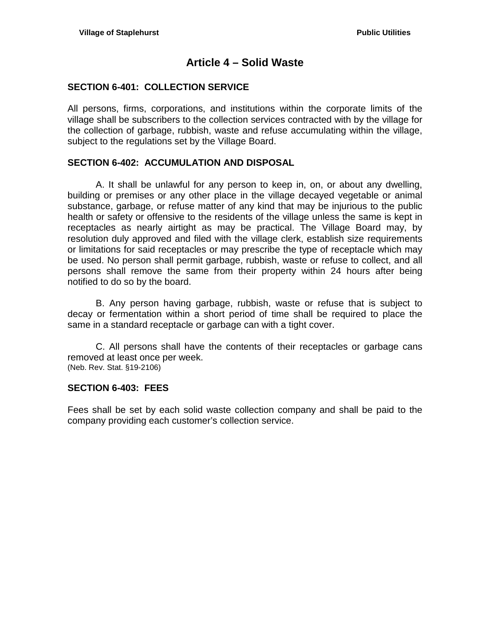# **Article 4 – Solid Waste**

### <span id="page-24-1"></span><span id="page-24-0"></span>**SECTION 6-401: COLLECTION SERVICE**

All persons, firms, corporations, and institutions within the corporate limits of the village shall be subscribers to the collection services contracted with by the village for the collection of garbage, rubbish, waste and refuse accumulating within the village, subject to the regulations set by the Village Board.

## <span id="page-24-2"></span>**SECTION 6-402: ACCUMULATION AND DISPOSAL**

A. It shall be unlawful for any person to keep in, on, or about any dwelling, building or premises or any other place in the village decayed vegetable or animal substance, garbage, or refuse matter of any kind that may be injurious to the public health or safety or offensive to the residents of the village unless the same is kept in receptacles as nearly airtight as may be practical. The Village Board may, by resolution duly approved and filed with the village clerk, establish size requirements or limitations for said receptacles or may prescribe the type of receptacle which may be used. No person shall permit garbage, rubbish, waste or refuse to collect, and all persons shall remove the same from their property within 24 hours after being notified to do so by the board.

B. Any person having garbage, rubbish, waste or refuse that is subject to decay or fermentation within a short period of time shall be required to place the same in a standard receptacle or garbage can with a tight cover.

C. All persons shall have the contents of their receptacles or garbage cans removed at least once per week. (Neb. Rev. Stat. §19-2106)

#### <span id="page-24-3"></span>**SECTION 6-403: FEES**

Fees shall be set by each solid waste collection company and shall be paid to the company providing each customer's collection service.